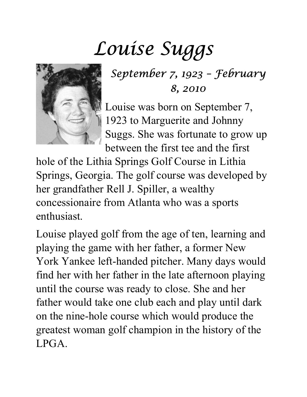## Louise Suggs



September 7, 1923 – February 8, 2010

Louise was born on September 7, 1923 to Marguerite and Johnny Suggs. She was fortunate to grow up between the first tee and the first

hole of the Lithia Springs Golf Course in Lithia Springs, Georgia. The golf course was developed by her grandfather Rell J. Spiller, a wealthy concessionaire from Atlanta who was a sports enthusiast.

Louise played golf from the age of ten, learning and playing the game with her father, a former New York Yankee left-handed pitcher. Many days would find her with her father in the late afternoon playing until the course was ready to close. She and her father would take one club each and play until dark on the nine-hole course which would produce the greatest woman golf champion in the history of the LPGA.